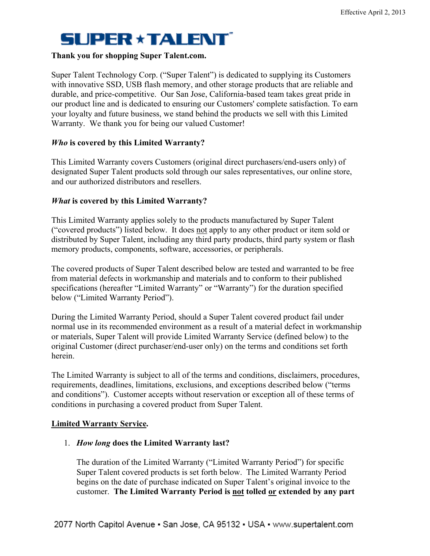### **Thank you for shopping Super Talent.com.**

Super Talent Technology Corp. ("Super Talent") is dedicated to supplying its Customers with innovative SSD, USB flash memory, and other storage products that are reliable and durable, and price-competitive. Our San Jose, California-based team takes great pride in our product line and is dedicated to ensuring our Customers' complete satisfaction. To earn your loyalty and future business, we stand behind the products we sell with this Limited Warranty. We thank you for being our valued Customer!

### *Who* **is covered by this Limited Warranty?**

This Limited Warranty covers Customers (original direct purchasers/end-users only) of designated Super Talent products sold through our sales representatives, our online store, and our authorized distributors and resellers.

### *What* **is covered by this Limited Warranty?**

This Limited Warranty applies solely to the products manufactured by Super Talent ("covered products") listed below. It does not apply to any other product or item sold or distributed by Super Talent, including any third party products, third party system or flash memory products, components, software, accessories, or peripherals.

The covered products of Super Talent described below are tested and warranted to be free from material defects in workmanship and materials and to conform to their published specifications (hereafter "Limited Warranty" or "Warranty") for the duration specified below ("Limited Warranty Period").

During the Limited Warranty Period, should a Super Talent covered product fail under normal use in its recommended environment as a result of a material defect in workmanship or materials, Super Talent will provide Limited Warranty Service (defined below) to the original Customer (direct purchaser/end-user only) on the terms and conditions set forth herein.

The Limited Warranty is subject to all of the terms and conditions, disclaimers, procedures, requirements, deadlines, limitations, exclusions, and exceptions described below ("terms and conditions"). Customer accepts without reservation or exception all of these terms of conditions in purchasing a covered product from Super Talent.

#### **Limited Warranty Service.**

### 1. *How long* **does the Limited Warranty last?**

The duration of the Limited Warranty ("Limited Warranty Period") for specific Super Talent covered products is set forth below. The Limited Warranty Period begins on the date of purchase indicated on Super Talent's original invoice to the customer. **The Limited Warranty Period is not tolled or extended by any part**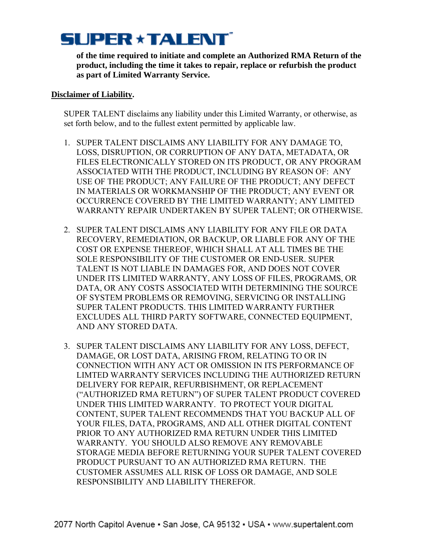**of the time required to initiate and complete an Authorized RMA Return of the product, including the time it takes to repair, replace or refurbish the product as part of Limited Warranty Service.**

#### **Disclaimer of Liability.**

SUPER TALENT disclaims any liability under this Limited Warranty, or otherwise, as set forth below, and to the fullest extent permitted by applicable law.

- 1. SUPER TALENT DISCLAIMS ANY LIABILITY FOR ANY DAMAGE TO, LOSS, DISRUPTION, OR CORRUPTION OF ANY DATA, METADATA, OR FILES ELECTRONICALLY STORED ON ITS PRODUCT, OR ANY PROGRAM ASSOCIATED WITH THE PRODUCT, INCLUDING BY REASON OF: ANY USE OF THE PRODUCT; ANY FAILURE OF THE PRODUCT; ANY DEFECT IN MATERIALS OR WORKMANSHIP OF THE PRODUCT; ANY EVENT OR OCCURRENCE COVERED BY THE LIMITED WARRANTY; ANY LIMITED WARRANTY REPAIR UNDERTAKEN BY SUPER TALENT; OR OTHERWISE.
- 2. SUPER TALENT DISCLAIMS ANY LIABILITY FOR ANY FILE OR DATA RECOVERY, REMEDIATION, OR BACKUP, OR LIABLE FOR ANY OF THE COST OR EXPENSE THEREOF, WHICH SHALL AT ALL TIMES BE THE SOLE RESPONSIBILITY OF THE CUSTOMER OR END-USER. SUPER TALENT IS NOT LIABLE IN DAMAGES FOR, AND DOES NOT COVER UNDER ITS LIMITED WARRANTY, ANY LOSS OF FILES, PROGRAMS, OR DATA, OR ANY COSTS ASSOCIATED WITH DETERMINING THE SOURCE OF SYSTEM PROBLEMS OR REMOVING, SERVICING OR INSTALLING SUPER TALENT PRODUCTS. THIS LIMITED WARRANTY FURTHER EXCLUDES ALL THIRD PARTY SOFTWARE, CONNECTED EQUIPMENT, AND ANY STORED DATA.
- 3. SUPER TALENT DISCLAIMS ANY LIABILITY FOR ANY LOSS, DEFECT, DAMAGE, OR LOST DATA, ARISING FROM, RELATING TO OR IN CONNECTION WITH ANY ACT OR OMISSION IN ITS PERFORMANCE OF LIMTED WARRANTY SERVICES INCLUDING THE AUTHORIZED RETURN DELIVERY FOR REPAIR, REFURBISHMENT, OR REPLACEMENT ("AUTHORIZED RMA RETURN") OF SUPER TALENT PRODUCT COVERED UNDER THIS LIMITED WARRANTY. TO PROTECT YOUR DIGITAL CONTENT, SUPER TALENT RECOMMENDS THAT YOU BACKUP ALL OF YOUR FILES, DATA, PROGRAMS, AND ALL OTHER DIGITAL CONTENT PRIOR TO ANY AUTHORIZED RMA RETURN UNDER THIS LIMITED WARRANTY. YOU SHOULD ALSO REMOVE ANY REMOVABLE STORAGE MEDIA BEFORE RETURNING YOUR SUPER TALENT COVERED PRODUCT PURSUANT TO AN AUTHORIZED RMA RETURN. THE CUSTOMER ASSUMES ALL RISK OF LOSS OR DAMAGE, AND SOLE RESPONSIBILITY AND LIABILITY THEREFOR.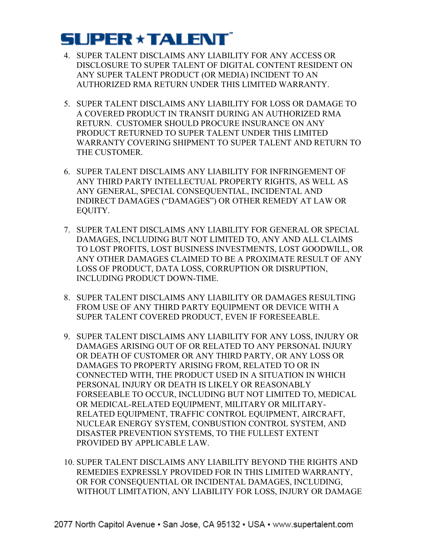- 4. SUPER TALENT DISCLAIMS ANY LIABILITY FOR ANY ACCESS OR DISCLOSURE TO SUPER TALENT OF DIGITAL CONTENT RESIDENT ON ANY SUPER TALENT PRODUCT (OR MEDIA) INCIDENT TO AN AUTHORIZED RMA RETURN UNDER THIS LIMITED WARRANTY.
- 5. SUPER TALENT DISCLAIMS ANY LIABILITY FOR LOSS OR DAMAGE TO A COVERED PRODUCT IN TRANSIT DURING AN AUTHORIZED RMA RETURN. CUSTOMER SHOULD PROCURE INSURANCE ON ANY PRODUCT RETURNED TO SUPER TALENT UNDER THIS LIMITED WARRANTY COVERING SHIPMENT TO SUPER TALENT AND RETURN TO THE CUSTOMER.
- 6. SUPER TALENT DISCLAIMS ANY LIABILITY FOR INFRINGEMENT OF ANY THIRD PARTY INTELLECTUAL PROPERTY RIGHTS, AS WELL AS ANY GENERAL, SPECIAL CONSEQUENTIAL, INCIDENTAL AND INDIRECT DAMAGES ("DAMAGES") OR OTHER REMEDY AT LAW OR EQUITY.
- 7. SUPER TALENT DISCLAIMS ANY LIABILITY FOR GENERAL OR SPECIAL DAMAGES, INCLUDING BUT NOT LIMITED TO, ANY AND ALL CLAIMS TO LOST PROFITS, LOST BUSINESS INVESTMENTS, LOST GOODWILL, OR ANY OTHER DAMAGES CLAIMED TO BE A PROXIMATE RESULT OF ANY LOSS OF PRODUCT, DATA LOSS, CORRUPTION OR DISRUPTION, INCLUDING PRODUCT DOWN-TIME.
- 8. SUPER TALENT DISCLAIMS ANY LIABILITY OR DAMAGES RESULTING FROM USE OF ANY THIRD PARTY EQUIPMENT OR DEVICE WITH A SUPER TALENT COVERED PRODUCT, EVEN IF FORESEEABLE.
- 9. SUPER TALENT DISCLAIMS ANY LIABILITY FOR ANY LOSS, INJURY OR DAMAGES ARISING OUT OF OR RELATED TO ANY PERSONAL INJURY OR DEATH OF CUSTOMER OR ANY THIRD PARTY, OR ANY LOSS OR DAMAGES TO PROPERTY ARISING FROM, RELATED TO OR IN CONNECTED WITH, THE PRODUCT USED IN A SITUATION IN WHICH PERSONAL INJURY OR DEATH IS LIKELY OR REASONABLY FORSEEABLE TO OCCUR, INCLUDING BUT NOT LIMITED TO, MEDICAL OR MEDICAL-RELATED EQUIPMENT, MILITARY OR MILITARY-RELATED EQUIPMENT, TRAFFIC CONTROL EQUIPMENT, AIRCRAFT, NUCLEAR ENERGY SYSTEM, CONBUSTION CONTROL SYSTEM, AND DISASTER PREVENTION SYSTEMS, TO THE FULLEST EXTENT PROVIDED BY APPLICABLE LAW.
- 10. SUPER TALENT DISCLAIMS ANY LIABILITY BEYOND THE RIGHTS AND REMEDIES EXPRESSLY PROVIDED FOR IN THIS LIMITED WARRANTY, OR FOR CONSEQUENTIAL OR INCIDENTAL DAMAGES, INCLUDING, WITHOUT LIMITATION, ANY LIABILITY FOR LOSS, INJURY OR DAMAGE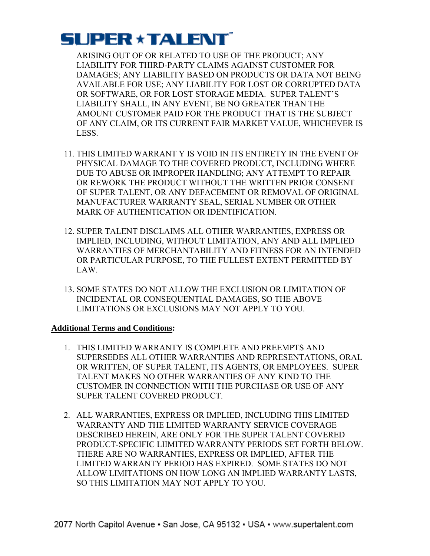ARISING OUT OF OR RELATED TO USE OF THE PRODUCT; ANY LIABILITY FOR THIRD-PARTY CLAIMS AGAINST CUSTOMER FOR DAMAGES; ANY LIABILITY BASED ON PRODUCTS OR DATA NOT BEING AVAILABLE FOR USE; ANY LIABILITY FOR LOST OR CORRUPTED DATA OR SOFTWARE, OR FOR LOST STORAGE MEDIA. SUPER TALENT'S LIABILITY SHALL, IN ANY EVENT, BE NO GREATER THAN THE AMOUNT CUSTOMER PAID FOR THE PRODUCT THAT IS THE SUBJECT OF ANY CLAIM, OR ITS CURRENT FAIR MARKET VALUE, WHICHEVER IS LESS.

- 11. THIS LIMITED WARRANT Y IS VOID IN ITS ENTIRETY IN THE EVENT OF PHYSICAL DAMAGE TO THE COVERED PRODUCT, INCLUDING WHERE DUE TO ABUSE OR IMPROPER HANDLING; ANY ATTEMPT TO REPAIR OR REWORK THE PRODUCT WITHOUT THE WRITTEN PRIOR CONSENT OF SUPER TALENT, OR ANY DEFACEMENT OR REMOVAL OF ORIGINAL MANUFACTURER WARRANTY SEAL, SERIAL NUMBER OR OTHER MARK OF AUTHENTICATION OR IDENTIFICATION.
- 12. SUPER TALENT DISCLAIMS ALL OTHER WARRANTIES, EXPRESS OR IMPLIED, INCLUDING, WITHOUT LIMITATION, ANY AND ALL IMPLIED WARRANTIES OF MERCHANTABILITY AND FITNESS FOR AN INTENDED OR PARTICULAR PURPOSE, TO THE FULLEST EXTENT PERMITTED BY LAW.
- 13. SOME STATES DO NOT ALLOW THE EXCLUSION OR LIMITATION OF INCIDENTAL OR CONSEQUENTIAL DAMAGES, SO THE ABOVE LIMITATIONS OR EXCLUSIONS MAY NOT APPLY TO YOU.

### **Additional Terms and Conditions:**

- 1. THIS LIMITED WARRANTY IS COMPLETE AND PREEMPTS AND SUPERSEDES ALL OTHER WARRANTIES AND REPRESENTATIONS, ORAL OR WRITTEN, OF SUPER TALENT, ITS AGENTS, OR EMPLOYEES. SUPER TALENT MAKES NO OTHER WARRANTIES OF ANY KIND TO THE CUSTOMER IN CONNECTION WITH THE PURCHASE OR USE OF ANY SUPER TALENT COVERED PRODUCT.
- 2. ALL WARRANTIES, EXPRESS OR IMPLIED, INCLUDING THIS LIMITED WARRANTY AND THE LIMITED WARRANTY SERVICE COVERAGE DESCRIBED HEREIN, ARE ONLY FOR THE SUPER TALENT COVERED PRODUCT-SPECIFIC LIIMITED WARRANTY PERIODS SET FORTH BELOW. THERE ARE NO WARRANTIES, EXPRESS OR IMPLIED, AFTER THE LIMITED WARRANTY PERIOD HAS EXPIRED. SOME STATES DO NOT ALLOW LIMITATIONS ON HOW LONG AN IMPLIED WARRANTY LASTS, SO THIS LIMITATION MAY NOT APPLY TO YOU.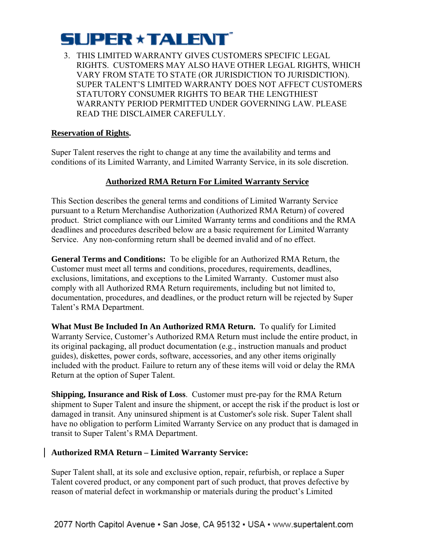3. THIS LIMITED WARRANTY GIVES CUSTOMERS SPECIFIC LEGAL RIGHTS. CUSTOMERS MAY ALSO HAVE OTHER LEGAL RIGHTS, WHICH VARY FROM STATE TO STATE (OR JURISDICTION TO JURISDICTION). SUPER TALENT'S LIMITED WARRANTY DOES NOT AFFECT CUSTOMERS STATUTORY CONSUMER RIGHTS TO BEAR THE LENGTHIEST WARRANTY PERIOD PERMITTED UNDER GOVERNING LAW. PLEASE READ THE DISCLAIMER CAREFULLY.

## **Reservation of Rights.**

Super Talent reserves the right to change at any time the availability and terms and conditions of its Limited Warranty, and Limited Warranty Service, in its sole discretion.

# **Authorized RMA Return For Limited Warranty Service**

This Section describes the general terms and conditions of Limited Warranty Service pursuant to a Return Merchandise Authorization (Authorized RMA Return) of covered product. Strict compliance with our Limited Warranty terms and conditions and the RMA deadlines and procedures described below are a basic requirement for Limited Warranty Service. Any non-conforming return shall be deemed invalid and of no effect.

**General Terms and Conditions:** To be eligible for an Authorized RMA Return, the Customer must meet all terms and conditions, procedures, requirements, deadlines, exclusions, limitations, and exceptions to the Limited Warranty. Customer must also comply with all Authorized RMA Return requirements, including but not limited to, documentation, procedures, and deadlines, or the product return will be rejected by Super Talent's RMA Department.

**What Must Be Included In An Authorized RMA Return.** To qualify for Limited Warranty Service, Customer's Authorized RMA Return must include the entire product, in its original packaging, all product documentation (e.g., instruction manuals and product guides), diskettes, power cords, software, accessories, and any other items originally included with the product. Failure to return any of these items will void or delay the RMA Return at the option of Super Talent.

**Shipping, Insurance and Risk of Loss**. Customer must pre-pay for the RMA Return shipment to Super Talent and insure the shipment, or accept the risk if the product is lost or damaged in transit. Any uninsured shipment is at Customer's sole risk. Super Talent shall have no obligation to perform Limited Warranty Service on any product that is damaged in transit to Super Talent's RMA Department.

# **Authorized RMA Return – Limited Warranty Service:**

Super Talent shall, at its sole and exclusive option, repair, refurbish, or replace a Super Talent covered product, or any component part of such product, that proves defective by reason of material defect in workmanship or materials during the product's Limited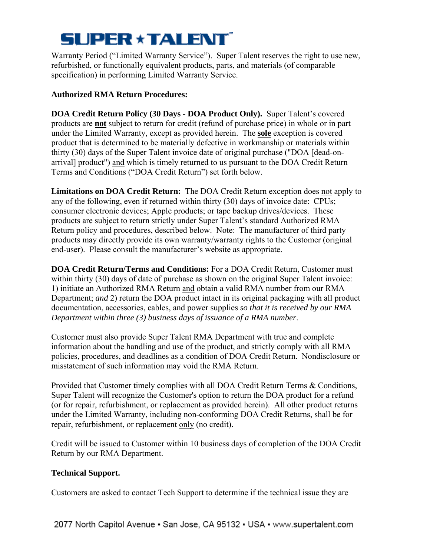Warranty Period ("Limited Warranty Service"). Super Talent reserves the right to use new, refurbished, or functionally equivalent products, parts, and materials (of comparable specification) in performing Limited Warranty Service.

# **Authorized RMA Return Procedures:**

**DOA Credit Return Policy (30 Days - DOA Product Only).** Super Talent's covered products are **not** subject to return for credit (refund of purchase price) in whole or in part under the Limited Warranty, except as provided herein. The **sole** exception is covered product that is determined to be materially defective in workmanship or materials within thirty (30) days of the Super Talent invoice date of original purchase ("DOA [dead-onarrival] product") and which is timely returned to us pursuant to the DOA Credit Return Terms and Conditions ("DOA Credit Return") set forth below.

**Limitations on DOA Credit Return:** The DOA Credit Return exception does not apply to any of the following, even if returned within thirty (30) days of invoice date: CPUs; consumer electronic devices; Apple products; or tape backup drives/devices. These products are subject to return strictly under Super Talent's standard Authorized RMA Return policy and procedures, described below. Note: The manufacturer of third party products may directly provide its own warranty/warranty rights to the Customer (original end-user). Please consult the manufacturer's website as appropriate.

**DOA Credit Return/Terms and Conditions:** For a DOA Credit Return, Customer must within thirty (30) days of date of purchase as shown on the original Super Talent invoice: 1) initiate an Authorized RMA Return and obtain a valid RMA number from our RMA Department; *and* 2) return the DOA product intact in its original packaging with all product documentation, accessories, cables, and power supplies *so that it is received by our RMA Department within three (3) business days of issuance of a RMA number*.

Customer must also provide Super Talent RMA Department with true and complete information about the handling and use of the product, and strictly comply with all RMA policies, procedures, and deadlines as a condition of DOA Credit Return. Nondisclosure or misstatement of such information may void the RMA Return.

Provided that Customer timely complies with all DOA Credit Return Terms & Conditions, Super Talent will recognize the Customer's option to return the DOA product for a refund (or for repair, refurbishment, or replacement as provided herein). All other product returns under the Limited Warranty, including non-conforming DOA Credit Returns, shall be for repair, refurbishment, or replacement only (no credit).

Credit will be issued to Customer within 10 business days of completion of the DOA Credit Return by our RMA Department.

# **Technical Support.**

Customers are asked to contact Tech Support to determine if the technical issue they are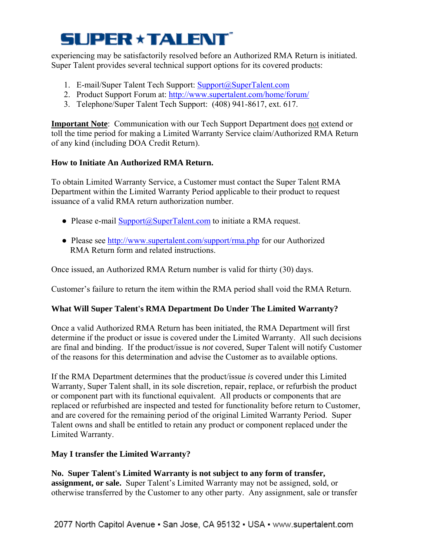experiencing may be satisfactorily resolved before an Authorized RMA Return is initiated. Super Talent provides several technical support options for its covered products:

- 1. E-mail/Super Talent Tech Support: Support@SuperTalent.com
- 2. Product Support Forum at: http://www.supertalent.com/home/forum/
- 3. Telephone/Super Talent Tech Support: (408) 941-8617, ext. 617.

**Important Note**: Communication with our Tech Support Department does not extend or toll the time period for making a Limited Warranty Service claim/Authorized RMA Return of any kind (including DOA Credit Return).

# **How to Initiate An Authorized RMA Return.**

To obtain Limited Warranty Service, a Customer must contact the Super Talent RMA Department within the Limited Warranty Period applicable to their product to request issuance of a valid RMA return authorization number.

- Please e-mail Support@SuperTalent.com to initiate a RMA request.
- Please see http://www.supertalent.com/support/rma.php for our Authorized RMA Return form and related instructions.

Once issued, an Authorized RMA Return number is valid for thirty (30) days.

Customer's failure to return the item within the RMA period shall void the RMA Return.

# **What Will Super Talent's RMA Department Do Under The Limited Warranty?**

Once a valid Authorized RMA Return has been initiated, the RMA Department will first determine if the product or issue is covered under the Limited Warranty. All such decisions are final and binding. If the product/issue is *not* covered, Super Talent will notify Customer of the reasons for this determination and advise the Customer as to available options.

If the RMA Department determines that the product/issue *is* covered under this Limited Warranty, Super Talent shall, in its sole discretion, repair, replace, or refurbish the product or component part with its functional equivalent. All products or components that are replaced or refurbished are inspected and tested for functionality before return to Customer, and are covered for the remaining period of the original Limited Warranty Period. Super Talent owns and shall be entitled to retain any product or component replaced under the Limited Warranty.

# **May I transfer the Limited Warranty?**

**No. Super Talent's Limited Warranty is not subject to any form of transfer, assignment, or sale.** Super Talent's Limited Warranty may not be assigned, sold, or otherwise transferred by the Customer to any other party. Any assignment, sale or transfer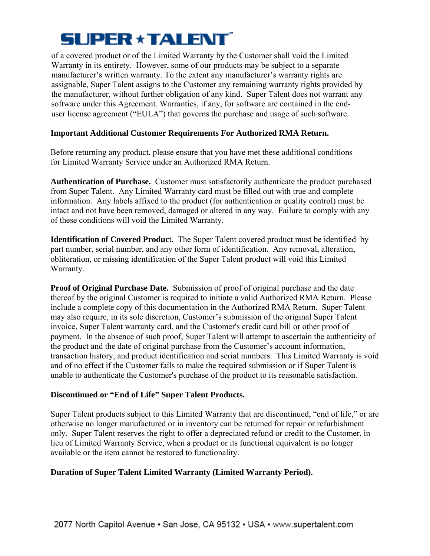of a covered product or of the Limited Warranty by the Customer shall void the Limited Warranty in its entirety. However, some of our products may be subject to a separate manufacturer's written warranty. To the extent any manufacturer's warranty rights are assignable, Super Talent assigns to the Customer any remaining warranty rights provided by the manufacturer, without further obligation of any kind. Super Talent does not warrant any software under this Agreement. Warranties, if any, for software are contained in the enduser license agreement ("EULA") that governs the purchase and usage of such software.

## **Important Additional Customer Requirements For Authorized RMA Return.**

Before returning any product, please ensure that you have met these additional conditions for Limited Warranty Service under an Authorized RMA Return.

**Authentication of Purchase.** Customer must satisfactorily authenticate the product purchased from Super Talent. Any Limited Warranty card must be filled out with true and complete information. Any labels affixed to the product (for authentication or quality control) must be intact and not have been removed, damaged or altered in any way. Failure to comply with any of these conditions will void the Limited Warranty.

**Identification of Covered Produc**t. The Super Talent covered product must be identified by part number, serial number, and any other form of identification. Any removal, alteration, obliteration, or missing identification of the Super Talent product will void this Limited Warranty.

**Proof of Original Purchase Date.** Submission of proof of original purchase and the date thereof by the original Customer is required to initiate a valid Authorized RMA Return. Please include a complete copy of this documentation in the Authorized RMA Return. Super Talent may also require, in its sole discretion, Customer's submission of the original Super Talent invoice, Super Talent warranty card, and the Customer's credit card bill or other proof of payment. In the absence of such proof, Super Talent will attempt to ascertain the authenticity of the product and the date of original purchase from the Customer's account information, transaction history, and product identification and serial numbers. This Limited Warranty is void and of no effect if the Customer fails to make the required submission or if Super Talent is unable to authenticate the Customer's purchase of the product to its reasonable satisfaction.

### **Discontinued or "End of Life" Super Talent Products.**

Super Talent products subject to this Limited Warranty that are discontinued, "end of life," or are otherwise no longer manufactured or in inventory can be returned for repair or refurbishment only. Super Talent reserves the right to offer a depreciated refund or credit to the Customer, in lieu of Limited Warranty Service, when a product or its functional equivalent is no longer available or the item cannot be restored to functionality.

# **Duration of Super Talent Limited Warranty (Limited Warranty Period).**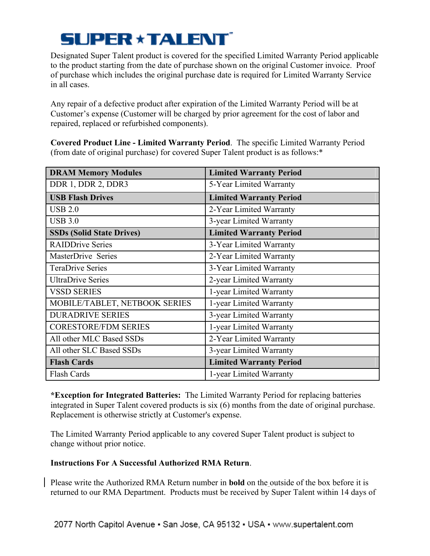Designated Super Talent product is covered for the specified Limited Warranty Period applicable to the product starting from the date of purchase shown on the original Customer invoice. Proof of purchase which includes the original purchase date is required for Limited Warranty Service in all cases.

Any repair of a defective product after expiration of the Limited Warranty Period will be at Customer's expense (Customer will be charged by prior agreement for the cost of labor and repaired, replaced or refurbished components).

**Covered Product Line - Limited Warranty Period**. The specific Limited Warranty Period (from date of original purchase) for covered Super Talent product is as follows:\*

| <b>DRAM Memory Modules</b>       | <b>Limited Warranty Period</b> |
|----------------------------------|--------------------------------|
| DDR 1, DDR 2, DDR3               | 5-Year Limited Warranty        |
| <b>USB Flash Drives</b>          | <b>Limited Warranty Period</b> |
| <b>USB 2.0</b>                   | 2-Year Limited Warranty        |
| <b>USB 3.0</b>                   | 3-year Limited Warranty        |
| <b>SSDs (Solid State Drives)</b> | <b>Limited Warranty Period</b> |
| <b>RAIDDrive Series</b>          | 3-Year Limited Warranty        |
| MasterDrive Series               | 2-Year Limited Warranty        |
| <b>TeraDrive Series</b>          | 3-Year Limited Warranty        |
| <b>UltraDrive Series</b>         | 2-year Limited Warranty        |
| <b>VSSD SERIES</b>               | 1-year Limited Warranty        |
| MOBILE/TABLET, NETBOOK SERIES    | 1-year Limited Warranty        |
| <b>DURADRIVE SERIES</b>          | 3-year Limited Warranty        |
| <b>CORESTORE/FDM SERIES</b>      | 1-year Limited Warranty        |
| All other MLC Based SSDs         | 2-Year Limited Warranty        |
| All other SLC Based SSDs         | 3-year Limited Warranty        |
| <b>Flash Cards</b>               | <b>Limited Warranty Period</b> |
| <b>Flash Cards</b>               | 1-year Limited Warranty        |

**\*Exception for Integrated Batteries:** The Limited Warranty Period for replacing batteries integrated in Super Talent covered products is six (6) months from the date of original purchase. Replacement is otherwise strictly at Customer's expense.

The Limited Warranty Period applicable to any covered Super Talent product is subject to change without prior notice.

# **Instructions For A Successful Authorized RMA Return**.

Please write the Authorized RMA Return number in **bold** on the outside of the box before it is returned to our RMA Department. Products must be received by Super Talent within 14 days of